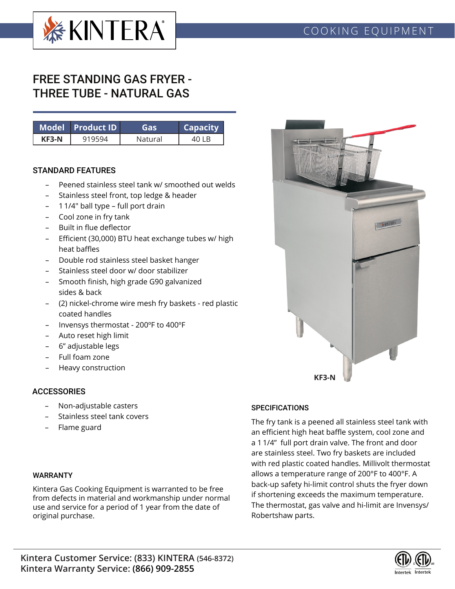

# FREE STANDING GAS FRYER - THREE TUBE - NATURAL GAS

|       | Model Product ID ˈ | Gas     | <b>Capacity</b> |
|-------|--------------------|---------|-----------------|
| KF3-N | 919594             | Natural |                 |

## STANDARD FEATURES

- Peened stainless steel tank w/ smoothed out welds
- Stainless steel front, top ledge & header
- 1 1/4" ball type full port drain
- Cool zone in fry tank
- Built in flue deflector
- Efficient (30,000) BTU heat exchange tubes w/ high heat baffles
- Double rod stainless steel basket hanger
- Stainless steel door w/ door stabilizer
- Smooth finish, high grade G90 galvanized sides & back
- (2) nickel-chrome wire mesh fry baskets red plastic coated handles
- Invensys thermostat 200ºF to 400ºF
- Auto reset high limit
- 6" adjustable legs
- Full foam zone
- Heavy construction

# **ACCESSORIES**

- Non-adjustable casters
- Stainless steel tank covers
- Flame guard

#### WARRANTY

Kintera Gas Cooking Equipment is warranted to be free from defects in material and workmanship under normal use and service for a period of 1 year from the date of original purchase.



## **SPECIFICATIONS**

The fry tank is a peened all stainless steel tank with an efficient high heat baffle system, cool zone and a 1 1/4" full port drain valve. The front and door are stainless steel. Two fry baskets are included with red plastic coated handles. Millivolt thermostat allows a temperature range of 200°F to 400°F. A back-up safety hi-limit control shuts the fryer down if shortening exceeds the maximum temperature. The thermostat, gas valve and hi-limit are Invensys/ Robertshaw parts.